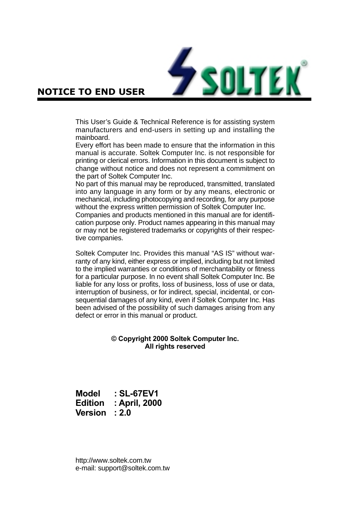

### **NOTICE TO END USER**

This User's Guide & Technical Reference is for assisting system manufacturers and end-users in setting up and installing the mainboard.

Every effort has been made to ensure that the information in this manual is accurate. Soltek Computer Inc. is not responsible for printing or clerical errors. Information in this document is subject to change without notice and does not represent a commitment on the part of Soltek Computer Inc.

No part of this manual may be reproduced, transmitted, translated into any language in any form or by any means, electronic or mechanical, including photocopying and recording, for any purpose without the express written permission of Soltek Computer Inc.

Companies and products mentioned in this manual are for identification purpose only. Product names appearing in this manual may or may not be registered trademarks or copyrights of their respective companies.

Soltek Computer Inc. Provides this manual "AS IS" without warranty of any kind, either express or implied, including but not limited to the implied warranties or conditions of merchantability or fitness for a particular purpose. In no event shall Soltek Computer Inc. Be liable for any loss or profits, loss of business, loss of use or data, interruption of business, or for indirect, special, incidental, or consequential damages of any kind, even if Soltek Computer Inc. Has been advised of the possibility of such damages arising from any defect or error in this manual or product.

#### **© Copyright 2000 Soltek Computer Inc. All rights reserved**

**Model : SL-67EV1 Edition : April, 2000 Version : 2.0**

http://www.soltek.com.tw e-mail: support@soltek.com.tw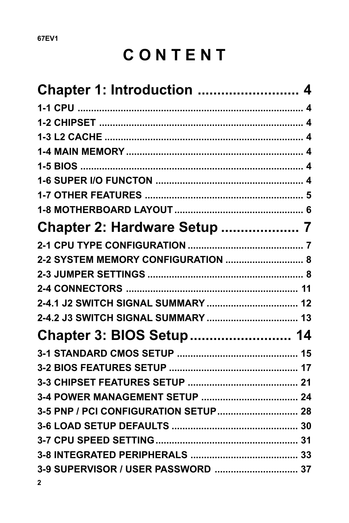# CONTENT

| <b>Chapter 1: Introduction  4</b>  |
|------------------------------------|
|                                    |
|                                    |
|                                    |
|                                    |
|                                    |
|                                    |
|                                    |
|                                    |
|                                    |
|                                    |
| 2-2 SYSTEM MEMORY CONFIGURATION  8 |
|                                    |
|                                    |
|                                    |
|                                    |
| Chapter 3: BIOS Setup 14           |
|                                    |
|                                    |
|                                    |
|                                    |
|                                    |
|                                    |
|                                    |
|                                    |
| $\mathbf{2}$                       |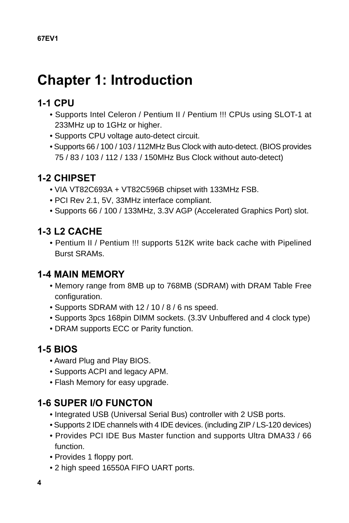## <span id="page-3-0"></span>**Chapter 1: Introduction**

## **1-1 CPU**

- Supports Intel Celeron / Pentium II / Pentium !!! CPUs using SLOT-1 at 233MHz up to 1GHz or higher.
- Supports CPU voltage auto-detect circuit.
- Supports 66 / 100 / 103 / 112MHz Bus Clock with auto-detect. (BIOS provides 75 / 83 / 103 / 112 / 133 / 150MHz Bus Clock without auto-detect)

## **1-2 CHIPSET**

- VIA VT82C693A + VT82C596B chipset with 133MHz FSB.
- PCI Rev 2.1, 5V, 33MHz interface compliant.
- Supports 66 / 100 / 133MHz, 3.3V AGP (Accelerated Graphics Port) slot.

## **1-3 L2 CACHE**

• Pentium II / Pentium !!! supports 512K write back cache with Pipelined Burst SRAMs.

## **1-4 MAIN MEMORY**

- Memory range from 8MB up to 768MB (SDRAM) with DRAM Table Free configuration.
- Supports SDRAM with 12 / 10 / 8 / 6 ns speed.
- Supports 3pcs 168pin DIMM sockets. (3.3V Unbuffered and 4 clock type)
- DRAM supports ECC or Parity function.

## **1-5 BIOS**

- Award Plug and Play BIOS.
- Supports ACPI and legacy APM.
- Flash Memory for easy upgrade.

## **1-6 SUPER I/O FUNCTON**

- Integrated USB (Universal Serial Bus) controller with 2 USB ports.
- Supports 2 IDE channels with 4 IDE devices. (including ZIP / LS-120 devices)
- Provides PCI IDE Bus Master function and supports Ultra DMA33 / 66 function.
- Provides 1 floppy port.
- 2 high speed 16550A FIFO UART ports.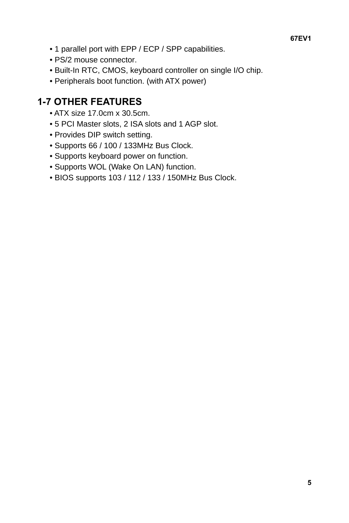- <span id="page-4-0"></span>• 1 parallel port with EPP / ECP / SPP capabilities.
- PS/2 mouse connector.
- Built-In RTC, CMOS, keyboard controller on single I/O chip.
- Peripherals boot function. (with ATX power)

## **1-7 OTHER FEATURES**

- ATX size 17.0cm x 30.5cm.
- 5 PCI Master slots, 2 ISA slots and 1 AGP slot.
- Provides DIP switch setting.
- Supports 66 / 100 / 133MHz Bus Clock.
- Supports keyboard power on function.
- Supports WOL (Wake On LAN) function.
- BIOS supports 103 / 112 / 133 / 150MHz Bus Clock.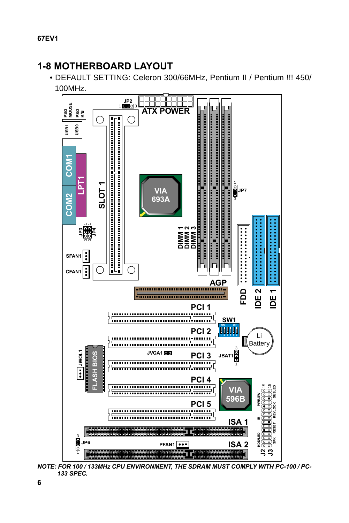## **1-8 MOTHERBOARD LAYOUT**

• DEFAULT SETTING: Celeron 300/66MHz, Pentium II / Pentium !!! 450/ 100MHz.



**NOTE: FOR 100 / 133MHz CPU ENVIRONMENT, THE SDRAM MUST COMPLY WITH PC-100 / PC-133 SPEC.**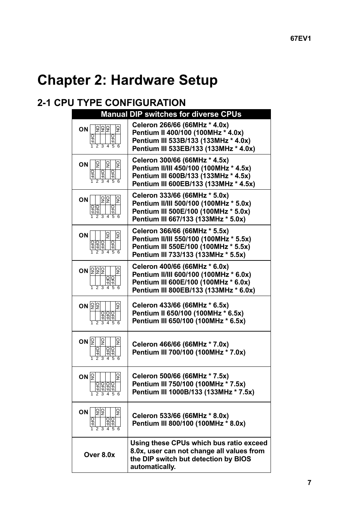## <span id="page-6-0"></span>**Chapter 2: Hardware Setup**

## **2-1 CPU TYPE CONFIGURATION**

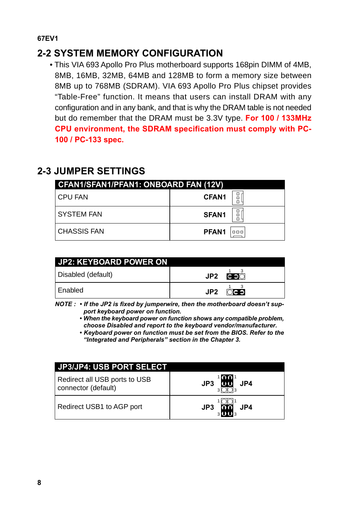## <span id="page-7-0"></span>**2-2 SYSTEM MEMORY CONFIGURATION**

• This VIA 693 Apollo Pro Plus motherboard supports 168pin DIMM of 4MB, 8MB, 16MB, 32MB, 64MB and 128MB to form a memory size between 8MB up to 768MB (SDRAM). VIA 693 Apollo Pro Plus chipset provides "Table-Free" function. It means that users can install DRAM with any configuration and in any bank, and that is why the DRAM table is not needed but do remember that the DRAM must be 3.3V type. **For 100 / 133MHz CPU environment, the SDRAM specification must comply with PC-100 / PC-133 spec.**

## **2-3 JUMPER SETTINGS**

| CFAN1/SFAN1/PFAN1: ONBOARD FAN (12V) |                             |  |
|--------------------------------------|-----------------------------|--|
| I CPU FAN                            | 日<br>ロ<br><b>CFAN1</b><br>n |  |
| <b>SYSTEM FAN</b>                    | 믑<br><b>SFAN1</b><br>n      |  |
| <b>CHASSIS FAN</b>                   | PFAN <sub>1</sub><br>000    |  |

| JP2: KEYBOARD POWER ON |                             |                 |
|------------------------|-----------------------------|-----------------|
| Disabled (default)     | $JP2 \quad \overline{CD}^3$ |                 |
| l Enabled              | JP2                         | OC <sub>D</sub> |

**NOTE : • If the JP2 is fixed by jumperwire, then the motherboard doesn't support keyboard power on function.**

**• When the keyboard power on function shows any compatible problem, choose Disabled and report to the keyboard vendor/manufacturer.**

**• Keyboard power on function must be set from the BIOS. Refer to the "Integrated and Peripherals" section in the Chapter 3.**

| <b>JP3/JP4: USB PORT SELECT</b>                      |                              |
|------------------------------------------------------|------------------------------|
| Redirect all USB ports to USB<br>connector (default) | '88<br>JP3<br>JP4            |
| Redirect USB1 to AGP port                            | JP3<br>JP4<br>$3$ <b>III</b> |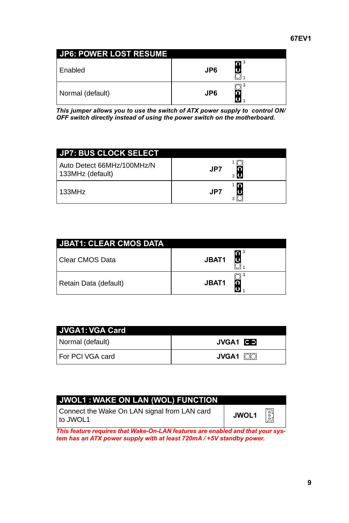| <b>JP6: POWER LOST RESUME</b> |                 |     |
|-------------------------------|-----------------|-----|
| Enabled                       | JP <sub>6</sub> | n 3 |
| Normal (default)              | JP <sub>6</sub> |     |

**This jumper allows you to use the switch of ATX power supply to control ON/ OFF switch directly instead of using the power switch on the motherboard.**

| <b>JP7: BUS CLOCK SELECT</b>                  |              |
|-----------------------------------------------|--------------|
| Auto Detect 66MHz/100MHz/<br>133MHz (default) | JP7<br>3 I.D |
| 133MHz                                        | חו<br>JP7    |

| <b>JBAT1: CLEAR CMOS DATA</b> |              |
|-------------------------------|--------------|
| l Clear CMOS Data             | n 3<br>JBAT1 |
| Retain Data (default)         | JBAT1        |

| <b>JVGA1: VGA Card</b> |                 |
|------------------------|-----------------|
| Normal (default)       | <b>JVGA1</b>    |
| For PCI VGA card       | <b>JVGA1</b> 00 |

| JWOL1: WAKE ON LAN (WOL) FUNCTION                        |       |         |
|----------------------------------------------------------|-------|---------|
| Connect the Wake On LAN signal from LAN card<br>to JWOL1 | JWOL1 | 핅<br>ōr |

**This feature requires that Wake-On-LAN features are enabled and that your system has an ATX power supply with at least 720mA / +5V standby power.**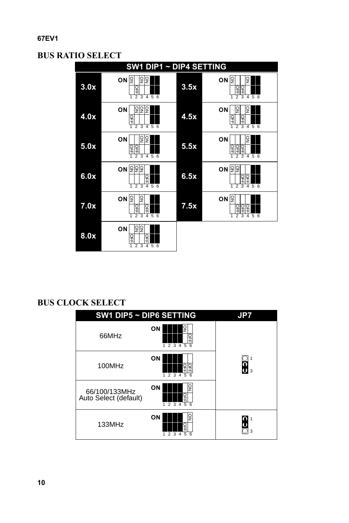#### **BUS RATIO SELECT**



#### **BUS CLOCK SELECT**

| SW1 DIP5 ~ DIP6 SETTING                |                                                | JP7 |
|----------------------------------------|------------------------------------------------|-----|
| 66MHz                                  | ON<br>긲<br>$1\overline{2}$ 3 4 5 6             |     |
| 100MHz                                 | ON<br>2345<br>1<br>6                           | 3   |
| 66/100/133MHz<br>Auto Select (default) | g<br>ON<br>Ŧ<br>$1\overline{2}3\overline{4}56$ |     |
| 133MHz                                 | ON<br>g<br>우<br>2 3<br>5<br>6<br>1<br>4        | 3   |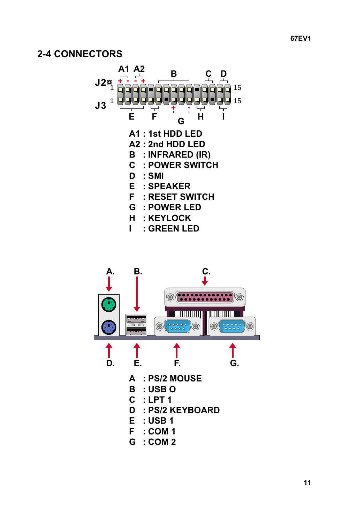## <span id="page-10-0"></span>**2-4 CONNECTORS**



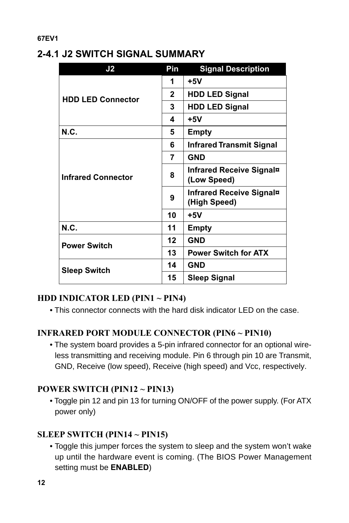## <span id="page-11-0"></span>**2-4.1 J2 SWITCH SIGNAL SUMMARY**

| J <sub>2</sub>            | Pin          | <b>Signal Description</b>                |
|---------------------------|--------------|------------------------------------------|
| <b>HDD LED Connector</b>  | 1            | $+5V$                                    |
|                           | $\mathbf{2}$ | <b>HDD LED Signal</b>                    |
|                           | 3            | <b>HDD LED Signal</b>                    |
|                           | 4            | $+5V$                                    |
| <b>N.C.</b>               | 5            | Empty                                    |
| <b>Infrared Connector</b> | 6            | <b>Infrared Transmit Signal</b>          |
|                           | 7            | <b>GND</b>                               |
|                           | 8            | Infrared Receive Signal¤<br>(Low Speed)  |
|                           | 9            | Infrared Receive Signal¤<br>(High Speed) |
|                           | 10           | $+5V$                                    |
| N.C.                      | 11           | Empty                                    |
| <b>Power Switch</b>       | 12           | <b>GND</b>                               |
|                           | 13           | <b>Power Switch for ATX</b>              |
| <b>Sleep Switch</b>       | 14           | GND                                      |
|                           | 15           | <b>Sleep Signal</b>                      |

#### **HDD INDICATOR LED (PIN1 ~ PIN4)**

• This connector connects with the hard disk indicator LED on the case.

#### **INFRARED PORT MODULE CONNECTOR (PIN6 ~ PIN10)**

• The system board provides a 5-pin infrared connector for an optional wireless transmitting and receiving module. Pin 6 through pin 10 are Transmit, GND, Receive (low speed), Receive (high speed) and Vcc, respectively.

#### **POWER SWITCH (PIN12 ~ PIN13)**

• Toggle pin 12 and pin 13 for turning ON/OFF of the power supply. (For ATX power only)

#### **SLEEP SWITCH (PIN14 ~ PIN15)**

• Toggle this jumper forces the system to sleep and the system won't wake up until the hardware event is coming. (The BIOS Power Management setting must be **ENABLED**)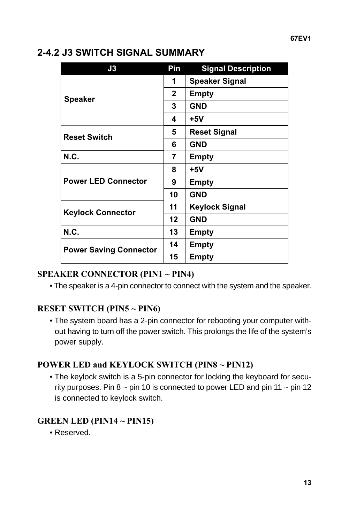| J3                            | Pin          | <b>Signal Description</b> |
|-------------------------------|--------------|---------------------------|
|                               | 1            | <b>Speaker Signal</b>     |
|                               | $\mathbf{2}$ | Empty                     |
| <b>Speaker</b>                | 3            | <b>GND</b>                |
|                               | 4            | $+5V$                     |
| <b>Reset Switch</b>           | 5            | <b>Reset Signal</b>       |
|                               | 6            | <b>GND</b>                |
| N.C.                          | 7            | Empty                     |
|                               | 8            | $+5V$                     |
| <b>Power LED Connector</b>    | 9            | Empty                     |
|                               | 10           | <b>GND</b>                |
|                               | 11           | <b>Keylock Signal</b>     |
| <b>Keylock Connector</b>      | 12           | <b>GND</b>                |
| <b>N.C.</b>                   | 13           | Empty                     |
| <b>Power Saving Connector</b> | 14           | Empty                     |
|                               | 15           | Empty                     |

## <span id="page-12-0"></span>**2-4.2 J3 SWITCH SIGNAL SUMMARY**

#### **SPEAKER CONNECTOR (PIN1 ~ PIN4)**

• The speaker is a 4-pin connector to connect with the system and the speaker.

#### **RESET SWITCH (PIN5 ~ PIN6)**

• The system board has a 2-pin connector for rebooting your computer without having to turn off the power switch. This prolongs the life of the system's power supply.

#### **POWER LED and KEYLOCK SWITCH (PIN8 ~ PIN12)**

• The keylock switch is a 5-pin connector for locking the keyboard for security purposes. Pin  $8 \sim$  pin 10 is connected to power LED and pin 11  $\sim$  pin 12 is connected to keylock switch.

#### **GREEN LED (PIN14 ~ PIN15)**

• Reserved.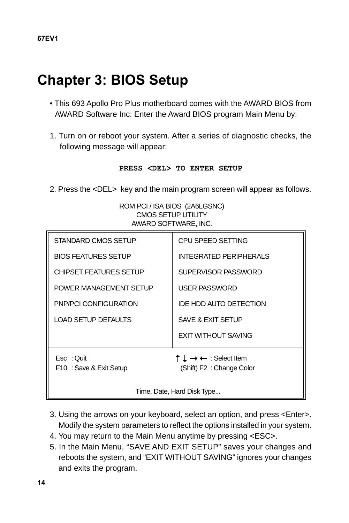## <span id="page-13-0"></span>**Chapter 3: BIOS Setup**

- This 693 Apollo Pro Plus motherboard comes with the AWARD BIOS from AWARD Software Inc. Enter the Award BIOS program Main Menu by:
- 1. Turn on or reboot your system. After a series of diagnostic checks, the following message will appear:

#### **PRESS <DEL> TO ENTER SETUP**

2. Press the <DEL> key and the main program screen will appear as follows.

ROM PCI / ISA BIOS (2A6LGSNC) CMOS SETUP UTILITY AWARD SOFTWARE, INC.

| <b>AVIAND JUL I WANE, ING.</b>      |                                                               |  |
|-------------------------------------|---------------------------------------------------------------|--|
| STANDARD CMOS SETUP                 | <b>CPU SPEED SETTING</b>                                      |  |
| <b>BIOS FEATURES SETUP</b>          | <b>INTEGRATED PERIPHERALS</b>                                 |  |
| <b>CHIPSET FEATURES SETUP</b>       | SUPERVISOR PASSWORD                                           |  |
| POWER MANAGEMENT SETUP              | <b>USER PASSWORD</b>                                          |  |
| PNP/PCI CONFIGURATION               | IDE HDD AUTO DETECTION                                        |  |
| <b>LOAD SETUP DEFAULTS</b>          | SAVE & EXIT SETUP                                             |  |
|                                     | <b>EXIT WITHOUT SAVING</b>                                    |  |
| Esc: Ouit<br>F10: Save & Exit Setup | ↑ $\downarrow$ → ← : Select Item<br>(Shift) F2 : Change Color |  |
| Time, Date, Hard Disk Type          |                                                               |  |

- 3. Using the arrows on your keyboard, select an option, and press <Enter>. Modify the system parameters to reflect the options installed in your system.
- 4. You may return to the Main Menu anytime by pressing <ESC>.
- 5. In the Main Menu, "SAVE AND EXIT SETUP" saves your changes and reboots the system, and "EXIT WITHOUT SAVING" ignores your changes and exits the program.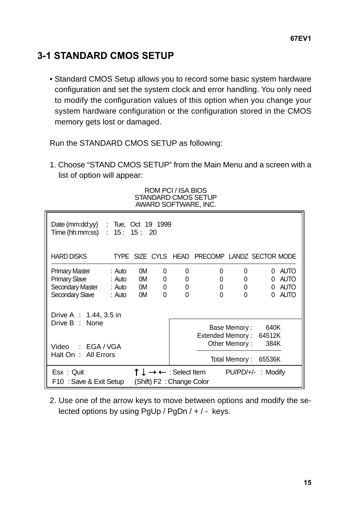## <span id="page-14-0"></span>**3-1 STANDARD CMOS SETUP**

• Standard CMOS Setup allows you to record some basic system hardware configuration and set the system clock and error handling. You only need to modify the configuration values of this option when you change your system hardware configuration or the configuration stored in the CMOS memory gets lost or damaged.

Run the STANDARD CMOS SETUP as following:

1. Choose "STAND CMOS SETUP" from the Main Menu and a screen with a list of option will appear:

| Date (mm: $dd(y)$ : Tue, Oct 19 1999<br>Time (hh:mm:ss) : | 15:15:20 |                                                   |   |              |                                               |               |        |             |
|-----------------------------------------------------------|----------|---------------------------------------------------|---|--------------|-----------------------------------------------|---------------|--------|-------------|
| HARD DISKS                                                |          |                                                   |   |              | TYPE SIZE CYLS HEAD PRECOMP LANDZ SECTOR MODE |               |        |             |
| <b>Primary Master</b>                                     | : Auto   | 0M                                                | 0 | 0            | 0                                             | 0             | 0      | <b>AUTO</b> |
| <b>Primary Slave</b>                                      | : Auto   | 0M o                                              | 0 | 0            | 0                                             | 0             | 0      | <b>AUTO</b> |
| Secondary Master : Auto 0M                                |          |                                                   | 0 | 0            | 0                                             | 0             | 0      | <b>AUTO</b> |
| Secondary Slave                                           | : Auto   | 0M                                                | 0 | $\mathbf{0}$ | $\mathbf{0}$                                  | 0             | 0      | <b>AUTO</b> |
| Drive A $: 1.44.3.5$ in                                   |          |                                                   |   |              |                                               |               |        |             |
| Drive B : None                                            |          |                                                   |   |              |                                               | Base Memory:  | 640K   |             |
|                                                           |          |                                                   |   |              | Extended Memory:                              |               | 64512K |             |
|                                                           |          |                                                   |   |              |                                               | Other Memory: | 384K   |             |
| Video : EGA / VGA<br>Halt On: All Errors                  |          |                                                   |   |              |                                               |               |        |             |
|                                                           |          |                                                   |   |              |                                               | Total Memory: | 65536K |             |
| Esx: Ouit                                                 |          | $\leftarrow$ : Select Item<br>$PU/PD/+/$ : Modify |   |              |                                               |               |        |             |
| F10: Save & Exit Setup                                    |          | (Shift) F2: Change Color                          |   |              |                                               |               |        |             |

#### ROM PCI / ISA BIOS STANDARD CMOS SETUP AWARD SOFTWARE, INC.

2. Use one of the arrow keys to move between options and modify the selected options by using PgUp / PgDn / + / - keys.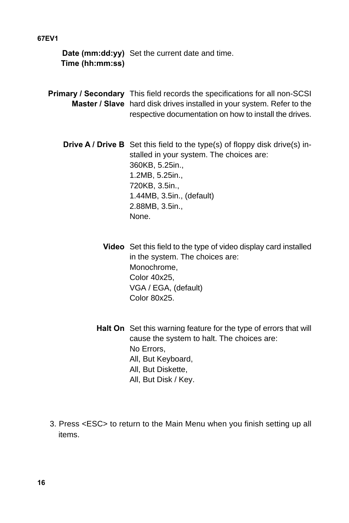**Date (mm:dd:yy)** Set the current date and time. **Time (hh:mm:ss)**

- **Primary / Secondary** This field records the specifications for all non-SCSI **Master / Slave** hard disk drives installed in your system. Refer to the respective documentation on how to install the drives.
	- **Drive A / Drive B** Set this field to the type(s) of floppy disk drive(s) installed in your system. The choices are: 360KB, 5.25in., 1.2MB, 5.25in., 720KB, 3.5in., 1.44MB, 3.5in., (default) 2.88MB, 3.5in., None.
		- **Video** Set this field to the type of video display card installed in the system. The choices are: Monochrome, Color 40x25, VGA / EGA, (default) Color 80x25.
		- **Halt On** Set this warning feature for the type of errors that will cause the system to halt. The choices are: No Errors, All, But Keyboard, All, But Diskette, All, But Disk / Key.
- 3. Press <ESC> to return to the Main Menu when you finish setting up all items.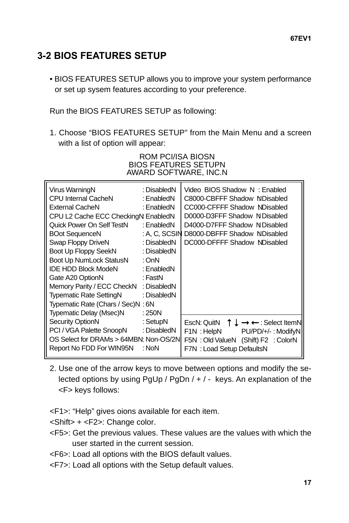## <span id="page-16-0"></span>**3-2 BIOS FEATURES SETUP**

• BIOS FEATURES SETUP allows you to improve your system performance or set up sysem features according to your preference.

Run the BIOS FEATURES SETUP as following:

1. Choose "BIOS FEATURES SETUP" from the Main Menu and a screen with a list of option will appear:

| Virus Warning                      | : Disabled   | Video BIOS Shadow<br>: Enabled                |
|------------------------------------|--------------|-----------------------------------------------|
| <b>CPU Internal Cache</b>          | : Enabled    | C8000-CBFFF Shadow<br>: Disabled              |
| External Cache                     | : Enabled    | CC000-CFFFF Shadow: Disabled                  |
| CPU L2 Cache ECC Checking: Enabled |              | D0000-D3FFF Shadow<br>: Disabled              |
| Quick Power On Self Test           | : Enabled    | D4000-D7FFF Shadow<br>: Disabled              |
| <b>BOot Sequence</b>               | : A, C, SCSI | D8000-DBFFF Shadow<br>: Disabled              |
| Swap Floppy Drive                  | : Disabled   | DC000-DFFFF Shadow: Disabled                  |
| Boot Up Floppy Seek                | : Disabled   |                                               |
| <b>Boot Up NumLock Status</b>      | : On         |                                               |
| <b>IDE HDD Block Mode</b>          | : Enabled    |                                               |
| Gate A20 Option                    | : Fast       |                                               |
| Memory Parity / ECC Check          | : Disabled   |                                               |
| <b>Typematic Rate Setting</b>      | : Disabled   |                                               |
| Typematic Rate (Chars / Sec)       | :6           |                                               |
| Typematic Delay (Msec)             | : 250        |                                               |
| <b>Security Option</b>             | : Setup      | Esc: Quit<br>↑ $\downarrow$ → ← : Select Item |
| PCI / VGA Palette Snoop            | : Disabled   | F1<br>: Help<br>$PU/PD/+/$ : Modify           |
| OS Select for DRAMs > 64MB         | : Non-OS/2   | F5<br>: Old Value<br>(Shift) F2 : Color       |
| Report No FDD For WIN95            | : No         | F7<br>: Load Setup Defaults                   |
|                                    |              |                                               |

#### ROM PCI/ISA BIOS **BIOS FEATURES SETUP** AWARD SOFTWARE, INC.N

- 2. Use one of the arrow keys to move between options and modify the selected options by using PgUp / PgDn / + / - keys. An explanation of the <F> keys follows:
- <F1>: "Help" gives oions available for each item.
- <Shift> + <F2>: Change color.
- <F5>: Get the previous values. These values are the values with which the user started in the current session.
- <F6>: Load all options with the BIOS default values.
- <F7>: Load all options with the Setup default values.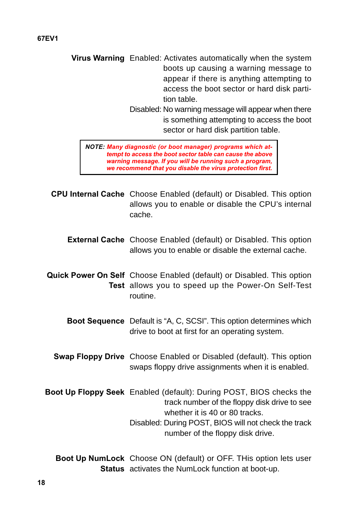**Virus Warning** Enabled: Activates automatically when the system boots up causing a warning message to appear if there is anything attempting to access the boot sector or hard disk partition table.

> Disabled: No warning message will appear when there is something attempting to access the boot sector or hard disk partition table.

**NOTE: Many diagnostic (or boot manager) programs which attempt to access the boot sector table can cause the above warning message. If you will be running such a program, we recommend that you disable the virus protection first.**

**CPU Internal Cache** Choose Enabled (default) or Disabled. This option allows you to enable or disable the CPU's internal cache.

**External Cache** Choose Enabled (default) or Disabled. This option allows you to enable or disable the external cache.

**Quick Power On Self** Choose Enabled (default) or Disabled. This option **Test** allows you to speed up the Power-On Self-Test routine.

- **Boot Sequence** Default is "A, C, SCSI". This option determines which drive to boot at first for an operating system.
- **Swap Floppy Drive** Choose Enabled or Disabled (default). This option swaps floppy drive assignments when it is enabled.
- **Boot Up Floppy Seek** Enabled (default): During POST, BIOS checks the track number of the floppy disk drive to see whether it is 40 or 80 tracks. Disabled: During POST, BIOS will not check the track number of the floppy disk drive.

**Boot Up NumLock** Choose ON (default) or OFF. THis option lets user **Status** activates the NumLock function at boot-up.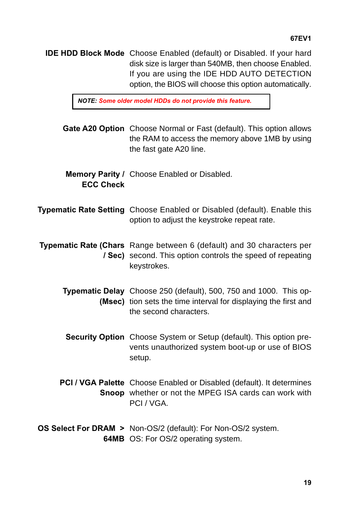**IDE HDD Block Mode** Choose Enabled (default) or Disabled. If your hard disk size is larger than 540MB, then choose Enabled. If you are using the IDE HDD AUTO DETECTION option, the BIOS will choose this option automatically.

**NOTE: Some older model HDDs do not provide this feature.**

- **Gate A20 Option** Choose Normal or Fast (default). This option allows the RAM to access the memory above 1MB by using the fast gate A20 line.
- **Memory Parity /** Choose Enabled or Disabled. **ECC Check**
- **Typematic Rate Setting** Choose Enabled or Disabled (default). Enable this option to adjust the keystroke repeat rate.
- **Typematic Rate (Chars** Range between 6 (default) and 30 characters per **/ Sec)** second. This option controls the speed of repeating keystrokes.
	- **Typematic Delay** Choose 250 (default), 500, 750 and 1000. This op-**(Msec)** tion sets the time interval for displaying the first and the second characters.
		- **Security Option** Choose System or Setup (default). This option prevents unauthorized system boot-up or use of BIOS setup.
	- **PCI / VGA Palette** Choose Enabled or Disabled (default). It determines **Snoop** whether or not the MPEG ISA cards can work with PCI / VGA.
- **OS Select For DRAM >** Non-OS/2 (default): For Non-OS/2 system. **64MB** OS: For OS/2 operating system.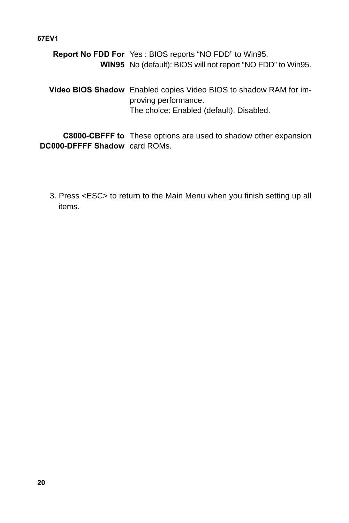**Report No FDD For** Yes : BIOS reports "NO FDD" to Win95. **WIN95** No (default): BIOS will not report "NO FDD" to Win95. **Video BIOS Shadow** Enabled copies Video BIOS to shadow RAM for improving performance. The choice: Enabled (default), Disabled.

**C8000-CBFFF to** These options are used to shadow other expansion **DC000-DFFFF Shadow** card ROMs.

3. Press <ESC> to return to the Main Menu when you finish setting up all items.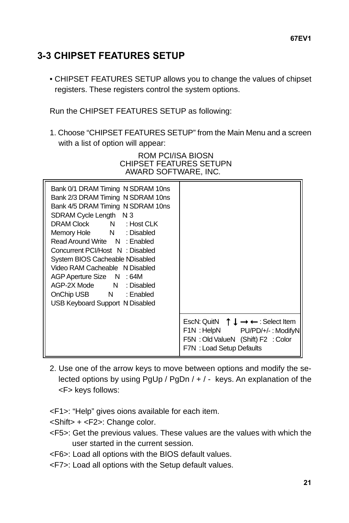## <span id="page-20-0"></span>**3-3 CHIPSET FEATURES SETUP**

• CHIPSET FEATURES SETUP allows you to change the values of chipset registers. These registers control the system options.

Run the CHIPSET FEATURES SETUP as following:

1. Choose "CHIPSET FEATURES SETUP" from the Main Menu and a screen with a list of option will appear:

#### ROM PCI/ISA BIOS CHIPSET FEATURES SETUP AWARD SOFTWARE, INC.

| Bank 0/1 DRAM Timing<br>Bank 2/3 DRAM Timing<br>Bank 4/5 DRAM Timing<br><b>SDRAM Cycle Length : 3</b><br>DRAM Clock DRAM C<br>: Host CLK<br>Memory Hole<br>: Disabled<br>Read Around Write : Enabled<br>Concurrent PCI/Host : Disabled<br>System BIOS Cacheable: Disabled<br>Video RAM Cacheable : Disabled<br>AGP Aperture Size<br>: 64M<br>AGP-2X Mode : Disabled<br>OnChip USB : Enabled<br>USB Keyboard Support<br>: Disabled | : SDRAM 10ns<br>: SDRAM 10ns<br>: SDRAM 10ns                                                                                                                                 |
|-----------------------------------------------------------------------------------------------------------------------------------------------------------------------------------------------------------------------------------------------------------------------------------------------------------------------------------------------------------------------------------------------------------------------------------|------------------------------------------------------------------------------------------------------------------------------------------------------------------------------|
|                                                                                                                                                                                                                                                                                                                                                                                                                                   | Esc : Quit $f \downarrow \rightarrow \leftarrow$ : Select Item<br>F1 I<br>: Help<br>$PU/PD/+/-$ : Modify<br>F5 : Old Value (Shift) F2 : Color<br>F7<br>: Load Setup Defaults |

- 2. Use one of the arrow keys to move between options and modify the selected options by using PgUp / PgDn / + / - keys. An explanation of the <F> keys follows:
- <F1>: "Help" gives oions available for each item.
- <Shift> + <F2>: Change color.
- <F5>: Get the previous values. These values are the values with which the user started in the current session.
- <F6>: Load all options with the BIOS default values.
- <F7>: Load all options with the Setup default values.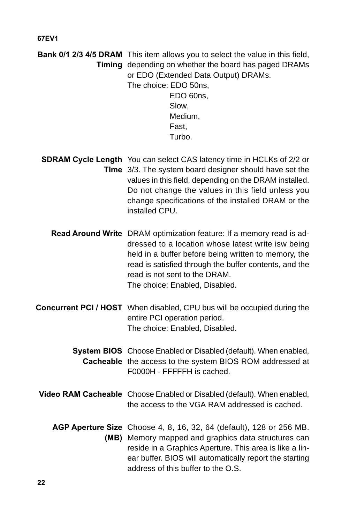**Bank 0/1 2/3 4/5 DRAM** This item allows you to select the value in this field, **Timing** depending on whether the board has paged DRAMs or EDO (Extended Data Output) DRAMs.

The choice: EDO 50ns, EDO 60ns, Slow, Medium, Fast,

Turbo.

- **SDRAM Cycle Length** You can select CAS latency time in HCLKs of 2/2 or **TIme** 3/3. The system board designer should have set the values in this field, depending on the DRAM installed. Do not change the values in this field unless you change specifications of the installed DRAM or the installed CPU.
	- **Read Around Write** DRAM optimization feature: If a memory read is addressed to a location whose latest write isw being held in a buffer before being written to memory, the read is satisfied through the buffer contents, and the read is not sent to the DRAM. The choice: Enabled, Disabled.
- **Concurrent PCI / HOST** When disabled, CPU bus will be occupied during the entire PCI operation period. The choice: Enabled, Disabled.
	- **System BIOS** Choose Enabled or Disabled (default). When enabled, **Cacheable** the access to the system BIOS ROM addressed at F0000H - FFFFFH is cached.
- **Video RAM Cacheable** Choose Enabled or Disabled (default). When enabled, the access to the VGA RAM addressed is cached.
	- **AGP Aperture Size** Choose 4, 8, 16, 32, 64 (default), 128 or 256 MB. **(MB)** Memory mapped and graphics data structures can reside in a Graphics Aperture. This area is like a linear buffer. BIOS will automatically report the starting address of this buffer to the O.S.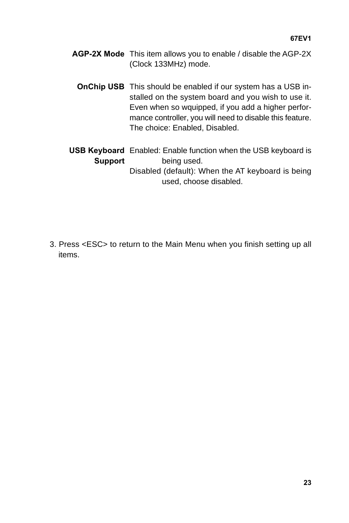- **AGP-2X Mode** This item allows you to enable / disable the AGP-2X (Clock 133MHz) mode.
	- **OnChip USB** This should be enabled if our system has a USB installed on the system board and you wish to use it. Even when so wquipped, if you add a higher performance controller, you will need to disable this feature. The choice: Enabled, Disabled.
- **USB Keyboard** Enabled: Enable function when the USB keyboard is **Support** being used. Disabled (default): When the AT keyboard is being used, choose disabled.

3. Press <ESC> to return to the Main Menu when you finish setting up all items.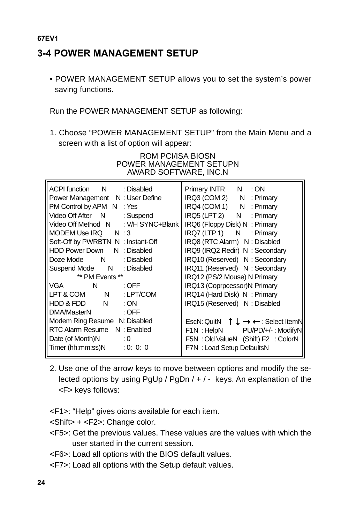## <span id="page-23-0"></span>**3-4 POWER MANAGEMENT SETUP**

• POWER MANAGEMENT SETUP allows you to set the system's power saving functions.

Run the POWER MANAGEMENT SETUP as following:

1. Choose "POWER MANAGEMENT SETUP" from the Main Menu and a screen with a list of option will appear:

| <b>ACPI</b> function  | : Disabled       | Primary INTR<br>: ON                                                     |
|-----------------------|------------------|--------------------------------------------------------------------------|
| Power Management      | : User Define    | IRQ3 (COM 2)<br>: Primary                                                |
| PM Control by APM     | : Yes            | IRQ4 (COM 1)<br>: Primary                                                |
| Video Off After       | : Suspend        | IRQ5 (LPT 2)<br>: Primary                                                |
| Video Off Method      | : V/H SYNC+Blank | IRQ6 (Floppy Disk)<br>: Primary                                          |
| MODEM Use IRQ         | :3               | IRQ7 (LTP 1)<br>: Primary                                                |
| Soft-Off by PWRBTN    | : Instant-Off    | IRQ8 (RTC Alarm)<br>: Disabled                                           |
| <b>HDD Power Down</b> | : Disabled       | IRQ9 (IRQ2 Redir)<br>: Secondary                                         |
| Doze Mode             | : Disabled       | IRQ10 (Reserved)<br>: Secondary                                          |
| Suspend Mode          | : Disabled       | IRQ11 (Reserved)<br>: Secondary                                          |
| ** PM Fvents **       |                  | IRQ12 (PS/2 Mouse)<br>: Primary                                          |
| <b>VGA</b>            | : OFF            | IRQ13 (Coprpcessor) : Primary                                            |
| LPT & COM             | : LPT/COM        | IRQ14 (Hard Disk)<br>: Primary                                           |
| HDD & FDD             | :ON              | IRQ15 (Reserved)<br>: Disabled                                           |
| DMA/Master            | : OFF            |                                                                          |
| Modem Ring Resume     | : Disabled       | Esc : Quit<br>$\uparrow \downarrow \rightarrow \leftarrow$ : Select Item |
| RTC Alarm Resume      | : Enabled        | F1<br>: Help<br>$PU/PD/+/$ : Modify                                      |
| Date (of Month)       | $\cdot 0$        | F <sub>5</sub><br>: Old Value<br>(Shift) F2 : Color                      |
| Timer (hh:mm:ss)      | : 0: 0: 0        | F7<br>: Load Setup Defaults                                              |
|                       |                  |                                                                          |

#### ROM PCI/ISA BIOS POWER MANAGEMENT SETUP AWARD SOFTWARE, INC.N

2. Use one of the arrow keys to move between options and modify the selected options by using PgUp / PgDn / + / - keys. An explanation of the <F> keys follows:

<F1>: "Help" gives oions available for each item.

<Shift> + <F2>: Change color.

- <F5>: Get the previous values. These values are the values with which the user started in the current session.
- <F6>: Load all options with the BIOS default values.
- <F7>: Load all options with the Setup default values.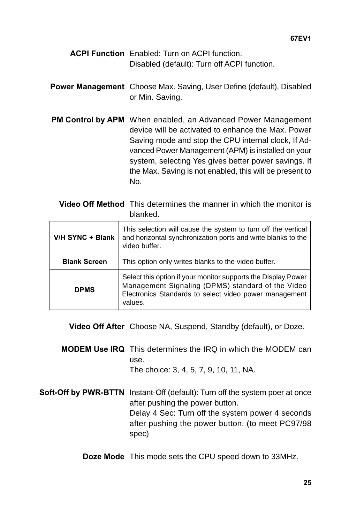- **ACPI Function** Enabled: Turn on ACPI function. Disabled (default): Turn off ACPI function.
- **Power Management** Choose Max. Saving, User Define (default), Disabled or Min. Saving.
- **PM Control by APM** When enabled, an Advanced Power Management device will be activated to enhance the Max. Power Saving mode and stop the CPU internal clock, If Advanced Power Management (APM) is installed on your system, selecting Yes gives better power savings. If the Max. Saving is not enabled, this will be present to No.

**Video Off Method** This determines the manner in which the monitor is blanked.

| V/H SYNC + Blank    | This selection will cause the system to turn off the vertical<br>and horizontal synchronization ports and write blanks to the<br>video buffer.                                          |
|---------------------|-----------------------------------------------------------------------------------------------------------------------------------------------------------------------------------------|
| <b>Blank Screen</b> | This option only writes blanks to the video buffer.                                                                                                                                     |
| <b>DPMS</b>         | Select this option if your monitor supports the Display Power<br>Management Signaling (DPMS) standard of the Video<br>Electronics Standards to select video power management<br>values. |

**Video Off After** Choose NA, Suspend, Standby (default), or Doze.

- **MODEM Use IRQ** This determines the IRQ in which the MODEM can use. The choice: 3, 4, 5, 7, 9, 10, 11, NA.
- **Soft-Off by PWR-BTTN** Instant-Off (default): Turn off the system poer at once after pushing the power button. Delay 4 Sec: Turn off the system power 4 seconds after pushing the power button. (to meet PC97/98 spec)
	- **Doze Mode** This mode sets the CPU speed down to 33MHz.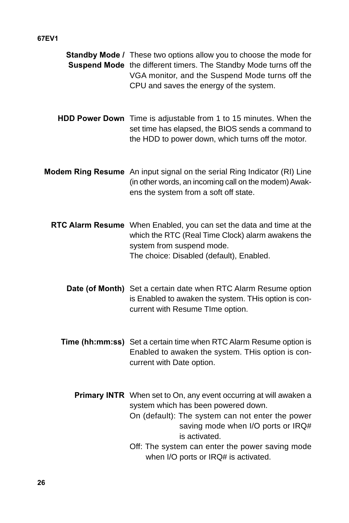| Standby Mode / These two options allow you to choose the mode for<br>Suspend Mode the different timers. The Standby Mode turns off the<br>VGA monitor, and the Suspend Mode turns off the<br>CPU and saves the energy of the system. |
|--------------------------------------------------------------------------------------------------------------------------------------------------------------------------------------------------------------------------------------|
| HDD Power Down Time is adjustable from 1 to 15 minutes. When the<br>set time has elapsed, the BIOS sends a command to<br>the HDD to power down, which turns off the motor.                                                           |
| Modem Ring Resume An input signal on the serial Ring Indicator (RI) Line<br>(in other words, an incoming call on the modem) Awak-<br>ens the system from a soft off state.                                                           |
| RTC Alarm Resume When Enabled, you can set the data and time at the<br>which the RTC (Real Time Clock) alarm awakens the<br>system from suspend mode.<br>The choice: Disabled (default), Enabled.                                    |
| Date (of Month) Set a certain date when RTC Alarm Resume option<br>is Enabled to awaken the system. THis option is con-<br>current with Resume TIme option.                                                                          |
| Time (hh:mm:ss) Set a certain time when RTC Alarm Resume option is<br>Enabled to awaken the system. THis option is con-<br>current with Date option.                                                                                 |
| Primary INTR When set to On, any event occurring at will awaken a<br>system which has been powered down.<br>On (default): The system can not enter the power<br>saving mode when I/O ports or IRQ#<br>is activated.                  |
| Off: The system can enter the power saving mode<br>when I/O ports or IRQ# is activated.                                                                                                                                              |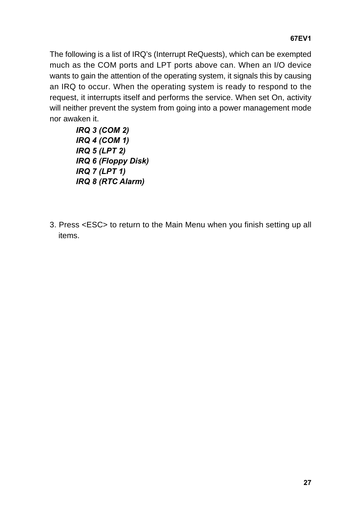The following is a list of IRQ's (Interrupt ReQuests), which can be exempted much as the COM ports and LPT ports above can. When an I/O device wants to gain the attention of the operating system, it signals this by causing an IRQ to occur. When the operating system is ready to respond to the request, it interrupts itself and performs the service. When set On, activity will neither prevent the system from going into a power management mode nor awaken it.

- **IRQ 3 (COM 2) IRQ 4 (COM 1) IRQ 5 (LPT 2) IRQ 6 (Floppy Disk) IRQ 7 (LPT 1) IRQ 8 (RTC Alarm)**
- 3. Press <ESC> to return to the Main Menu when you finish setting up all items.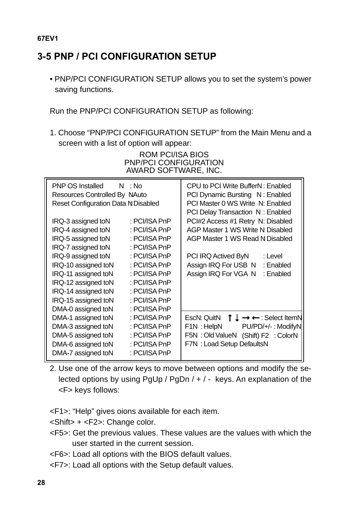## <span id="page-27-0"></span>**3-5 PNP / PCI CONFIGURATION SETUP**

• PNP/PCI CONFIGURATION SETUP allows you to set the system's power saving functions.

Run the PNP/PCI CONFIGURATION SETUP as following:

1. Choose "PNP/PCI CONFIGURATION SETUP" from the Main Menu and a screen with a list of option will appear:

> ROM PCI/ISA BIOS PNP/PCI CONFIGURATION AWARD SOFTWARE, INC.

| PNP OS Installed<br>Resources Controlled By<br>Reset Configuration Data: Disabled                                                                                                                                   | : No<br>: Auto                                                                                                                                                         | CPU to PCI Write Buffer<br>: Enabled<br>PCI Dynamic Bursting<br>: Enabled<br>PCI Master 0 WS Write<br>: Enabled<br>PCI Delay Transaction<br>: Enabled                                                                          |
|---------------------------------------------------------------------------------------------------------------------------------------------------------------------------------------------------------------------|------------------------------------------------------------------------------------------------------------------------------------------------------------------------|--------------------------------------------------------------------------------------------------------------------------------------------------------------------------------------------------------------------------------|
| IRQ-3 assigned to<br>IRQ-4 assigned to<br>IRQ-5 assigned to<br>IRQ-7 assigned to<br>IRQ-9 assigned to<br>IRQ-10 assigned to<br>IRQ-11 assigned to<br>IRQ-12 assigned to<br>IRQ-14 assigned to<br>IRQ-15 assigned to | : PCI/ISA PnP<br>: PCI/ISA PnP<br>: PCI/ISA PnP<br>: PCI/ISA PnP<br>: PCI/ISA PnP<br>: PCI/ISA PnP<br>: PCI/ISA PnP<br>: PCI/ISA PnP<br>: PCI/ISA PnP<br>: PCI/ISA PnP | PCI#2 Access #1 Retry<br>: Disabled<br><b>AGP Master 1 WS Write</b><br>: Disabled<br>: Disabled<br>AGP Master 1 WS Read<br>PCI IRQ Actived By<br>: Level<br>Assign IRQ For USB<br>: Enabled<br>Assign IRQ For VGA<br>: Enabled |
| DMA-0 assigned to<br>DMA-1 assigned to<br>DMA-3 assigned to<br>DMA-5 assigned to<br>DMA-6 assigned to<br>DMA-7 assigned to                                                                                          | : PCI/ISA PnP<br>: PCI/ISA PnP<br>: PCI/ISA PnP<br>: PCI/ISA PnP<br>: PCI/ISA PnP<br>: PCI/ISA PnP                                                                     | Esc: Quit<br>↑ $\downarrow$ $\rightarrow$ ← : Select Item<br>F1<br>: Help<br>PU/PD/+/-: Modify<br>F <sub>5</sub><br>: Old Value<br>(Shift) F2 : Color<br>F7<br>: Load Setup Defaults                                           |

- 2. Use one of the arrow keys to move between options and modify the selected options by using PgUp / PgDn / + / - keys. An explanation of the <F> keys follows:
- <F1>: "Help" gives oions available for each item.
- <Shift> + <F2>: Change color.
- <F5>: Get the previous values. These values are the values with which the user started in the current session.
- <F6>: Load all options with the BIOS default values.
- <F7>: Load all options with the Setup default values.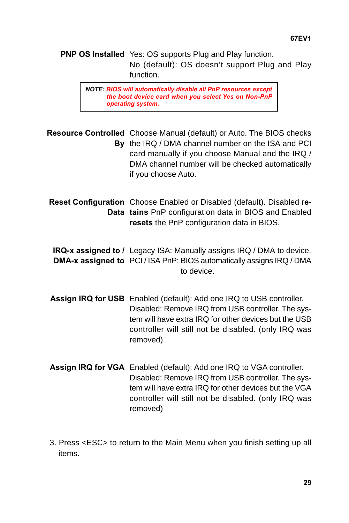**PNP OS Installed** Yes: OS supports Plug and Play function. No (default): OS doesn't support Plug and Play function.

**NOTE: BIOS will automatically disable all PnP resources except the boot device card when you select Yes on Non-PnP operating system.**

**Resource Controlled** Choose Manual (default) or Auto. The BIOS checks **By** the IRQ / DMA channel number on the ISA and PCI card manually if you choose Manual and the IRQ / DMA channel number will be checked automatically if you choose Auto.

**Reset Configuration** Choose Enabled or Disabled (default). Disabled r**e-Data tains** PnP configuration data in BIOS and Enabled **resets** the PnP configuration data in BIOS.

**IRQ-x assigned to /** Legacy ISA: Manually assigns IRQ / DMA to device. **DMA-x assigned to** PCI / ISA PnP: BIOS automatically assigns IRQ / DMA to device.

- **Assign IRQ for USB** Enabled (default): Add one IRQ to USB controller. Disabled: Remove IRQ from USB controller. The system will have extra IRQ for other devices but the USB controller will still not be disabled. (only IRQ was removed)
- **Assign IRQ for VGA** Enabled (default): Add one IRQ to VGA controller. Disabled: Remove IRQ from USB controller. The system will have extra IRQ for other devices but the VGA controller will still not be disabled. (only IRQ was removed)
- 3. Press <ESC> to return to the Main Menu when you finish setting up all items.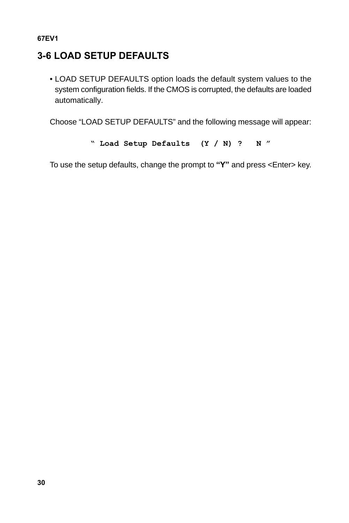## <span id="page-29-0"></span>**3-6 LOAD SETUP DEFAULTS**

• LOAD SETUP DEFAULTS option loads the default system values to the system configuration fields. If the CMOS is corrupted, the defaults are loaded automatically.

Choose "LOAD SETUP DEFAULTS" and the following message will appear:

```
" Load Setup Defaults (Y / N) ? N "
```
To use the setup defaults, change the prompt to **"Y"** and press <Enter> key.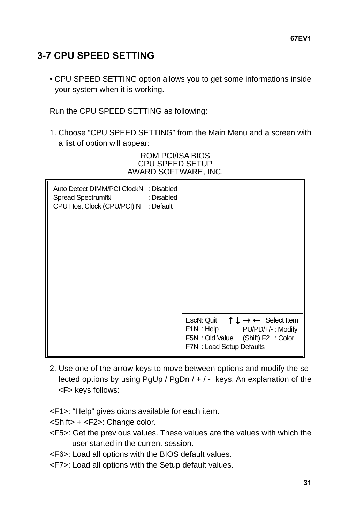## <span id="page-30-0"></span>**3-7 CPU SPEED SETTING**

• CPU SPEED SETTING option allows you to get some informations inside your system when it is working.

Run the CPU SPEED SETTING as following:

1. Choose "CPU SPEED SETTING" from the Main Menu and a screen with a list of option will appear:

#### ROM PCI/ISA BIOS CPU SPEED SETUP AWARD SOFTWARE, INC.

| Auto Detect DIMM/PCI Clock<br>Spread Spectrum<br>CPU Host Clock (CPU/PCI) | : Disabled<br>: Disabled<br>: Default |                                                                                                                                                                           |
|---------------------------------------------------------------------------|---------------------------------------|---------------------------------------------------------------------------------------------------------------------------------------------------------------------------|
|                                                                           |                                       | Esc : Quit $\uparrow \downarrow \rightarrow \leftarrow$ : Select Item<br>: Help PU/PD/+/-: Modify<br>F1.<br>F5 : Old Value (Shift) F2 : Color<br>F7 : Load Setup Defaults |

- 2. Use one of the arrow keys to move between options and modify the selected options by using PgUp / PgDn / + / - keys. An explanation of the <F> keys follows:
- <F1>: "Help" gives oions available for each item.
- <Shift> + <F2>: Change color.
- <F5>: Get the previous values. These values are the values with which the user started in the current session.
- <F6>: Load all options with the BIOS default values.
- <F7>: Load all options with the Setup default values.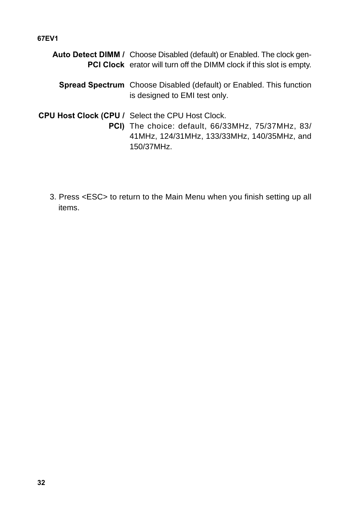| <b>Auto Detect DIMM / Choose Disabled (default) or Enabled. The clock gen-</b><br>PCI Clock erator will turn off the DIMM clock if this slot is empty.                           |
|----------------------------------------------------------------------------------------------------------------------------------------------------------------------------------|
| <b>Spread Spectrum</b> Choose Disabled (default) or Enabled. This function<br>is designed to EMI test only.                                                                      |
| <b>CPU Host Clock (CPU / Select the CPU Host Clock.</b><br><b>PCI)</b> The choice: default, 66/33MHz, 75/37MHz, 83/<br>41MHz, 124/31MHz, 133/33MHz, 140/35MHz, and<br>150/37MHz. |

3. Press <ESC> to return to the Main Menu when you finish setting up all items.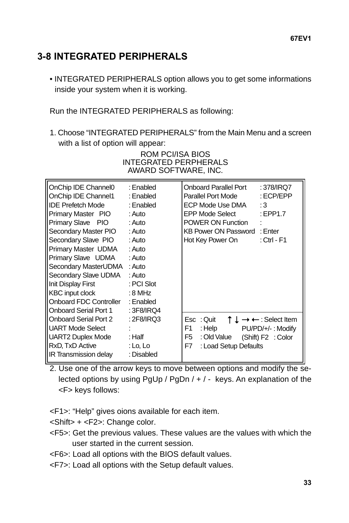## <span id="page-32-0"></span>**3-8 INTEGRATED PERIPHERALS**

• INTEGRATED PERIPHERALS option allows you to get some informations inside your system when it is working.

Run the INTEGRATED PERIPHERALS as following:

1. Choose "INTEGRATED PERIPHERALS" from the Main Menu and a screen with a list of option will appear:

| OnChip IDE Channel0<br>OnChip IDE Channel1<br><b>IDE Prefetch Mode</b><br>Primary Master PIO<br>Primary Slave PIO<br>Secondary Master PIO<br>Secondary Slave PIO<br>Primary Master UDMA<br>Primary Slave UDMA<br>Secondary MasterUDMA<br>Secondary Slave UDMA<br>Init Display First<br>KBC input clock<br>Onboard FDC Controller<br>Onboard Serial Port 1 | : Enabled<br>: Enabled<br>: Enabled<br>: Auto<br>: Auto<br>: Auto<br>: Auto<br>: Auto<br>: Auto<br>: Auto<br>: Auto<br>: PCI Slot<br>: 8 MHz<br>: Enabled<br>: 3F8/IRQ4 | <b>Onboard Parallel Port</b><br>:378/IRQ7<br>: ECP/EPP<br>Parallel Port Mode<br>ECP Mode Use DMA<br>: $3$<br>EPP Mode Select<br>EPP1.7<br>POWER ON Function<br>÷<br>KB Power ON Password : Enter<br>Hot Key Power On<br>$:$ Ctrl - F1 |
|-----------------------------------------------------------------------------------------------------------------------------------------------------------------------------------------------------------------------------------------------------------------------------------------------------------------------------------------------------------|-------------------------------------------------------------------------------------------------------------------------------------------------------------------------|---------------------------------------------------------------------------------------------------------------------------------------------------------------------------------------------------------------------------------------|
| Onboard Serial Port 2<br><b>UART Mode Select</b><br>UART2 Duplex Mode<br>RxD, TxD Active<br>IR Transmission delay                                                                                                                                                                                                                                         | : 2F8/IRQ3<br>: Half<br>: Lo, Lo<br>: Disabled                                                                                                                          | Esc : Quit $f \downarrow \rightarrow \leftarrow$ : Select Item<br>F1<br>: Help<br>$PU/PD/+/$ : Modify<br>F5<br>: Old Value<br>(Shift) F2 : Color<br>F7<br>: Load Setup Defaults                                                       |

ROM PCI/ISA BIOS INTEGRATED PERPHERALS AWARD SOFTWARE, INC.

2. Use one of the arrow keys to move between options and modify the selected options by using PgUp / PgDn / + / - keys. An explanation of the <F> keys follows:

<F1>: "Help" gives oions available for each item.

<Shift> + <F2>: Change color.

- <F5>: Get the previous values. These values are the values with which the user started in the current session.
- <F6>: Load all options with the BIOS default values.
- <F7>: Load all options with the Setup default values.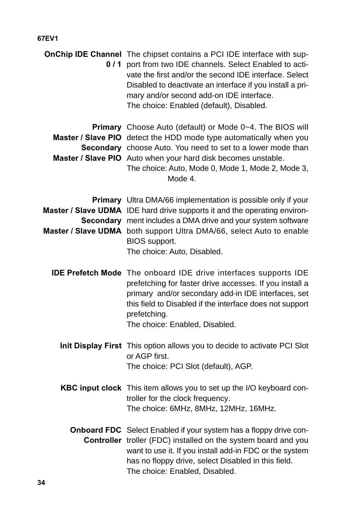| OnChip IDE Channel The chipset contains a PCI IDE interface with sup-<br>0 / 1 port from two IDE channels. Select Enabled to acti-<br>vate the first and/or the second IDE interface. Select<br>Disabled to deactivate an interface if you install a pri-<br>mary and/or second add-on IDE interface.<br>The choice: Enabled (default), Disabled. |
|---------------------------------------------------------------------------------------------------------------------------------------------------------------------------------------------------------------------------------------------------------------------------------------------------------------------------------------------------|
| Primary Choose Auto (default) or Mode 0~4. The BIOS will<br>Master / Slave PIO detect the HDD mode type automatically when you<br>Secondary choose Auto. You need to set to a lower mode than<br>Master / Slave PIO Auto when your hard disk becomes unstable.<br>The choice: Auto, Mode 0, Mode 1, Mode 2, Mode 3,<br>Mode 4.                    |
| Primary Ultra DMA/66 implementation is possible only if your<br>Master / Slave UDMA IDE hard drive supports it and the operating environ-<br>Secondary ment includes a DMA drive and your system software<br>Master / Slave UDMA both support Ultra DMA/66, select Auto to enable<br>BIOS support.<br>The choice: Auto, Disabled.                 |
| IDE Prefetch Mode The onboard IDE drive interfaces supports IDE<br>prefetching for faster drive accesses. If you install a<br>primary and/or secondary add-in IDE interfaces, set<br>this field to Disabled if the interface does not support<br>prefetching.<br>The choice: Enabled, Disabled.                                                   |
| Init Display First This option allows you to decide to activate PCI Slot<br>or AGP first.<br>The choice: PCI Slot (default), AGP.                                                                                                                                                                                                                 |
| KBC input clock This item allows you to set up the I/O keyboard con-<br>troller for the clock frequency.<br>The choice: 6MHz, 8MHz, 12MHz, 16MHz.                                                                                                                                                                                                 |
| Onboard FDC Select Enabled if your system has a floppy drive con-<br>Controller troller (FDC) installed on the system board and you<br>want to use it. If you install add-in FDC or the system<br>has no floppy drive, select Disabled in this field.<br>The choice: Enabled, Disabled.                                                           |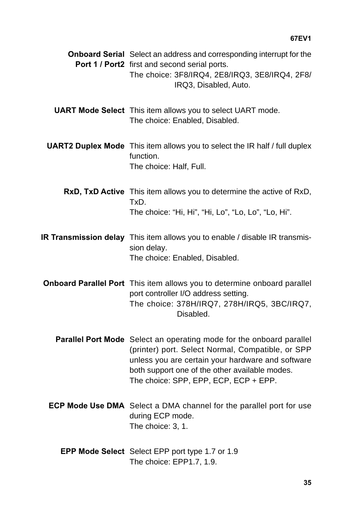| <b>Onboard Serial</b> Select an address and corresponding interrupt for the<br>Port 1 / Port2 first and second serial ports.<br>The choice: 3F8/IRQ4, 2E8/IRQ3, 3E8/IRQ4, 2F8/<br>IRQ3, Disabled, Auto.                                                                   |
|---------------------------------------------------------------------------------------------------------------------------------------------------------------------------------------------------------------------------------------------------------------------------|
| <b>UART Mode Select</b> This item allows you to select UART mode.<br>The choice: Enabled, Disabled.                                                                                                                                                                       |
| <b>UART2 Duplex Mode</b> This item allows you to select the IR half / full duplex<br>function.<br>The choice: Half, Full.                                                                                                                                                 |
| RxD, TxD Active This item allows you to determine the active of RxD,<br>TxD.<br>The choice: "Hi, Hi", "Hi, Lo", "Lo, Lo", "Lo, Hi".                                                                                                                                       |
| IR Transmission delay This item allows you to enable / disable IR transmis-<br>sion delay.<br>The choice: Enabled, Disabled.                                                                                                                                              |
| Onboard Parallel Port This item allows you to determine onboard parallel<br>port controller I/O address setting.<br>The choice: 378H/IRQ7, 278H/IRQ5, 3BC/IRQ7,<br>Disabled.                                                                                              |
| Parallel Port Mode Select an operating mode for the onboard parallel<br>(printer) port. Select Normal, Compatible, or SPP<br>unless you are certain your hardware and software<br>both support one of the other available modes.<br>The choice: SPP, EPP, ECP, ECP + EPP. |
| ECP Mode Use DMA Select a DMA channel for the parallel port for use<br>during ECP mode.<br>The choice: 3, 1.                                                                                                                                                              |
| EPP Mode Select Select EPP port type 1.7 or 1.9<br>The choice: EPP1.7, 1.9.                                                                                                                                                                                               |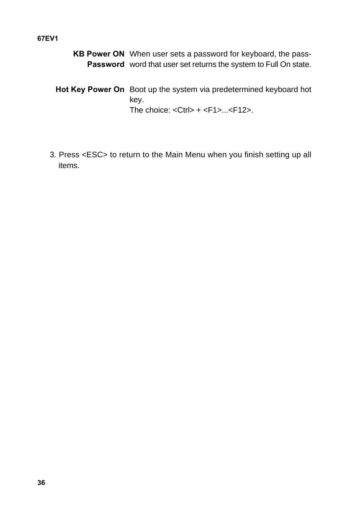**KB Power ON** When user sets a password for keyboard, the pass-Password word that user set returns the system to Full On state.

**Hot Key Power On** Boot up the system via predetermined keyboard hot key. The choice:  $<$ Ctrl> +  $<$ F1>... $<$ F12>.

3. Press <ESC> to return to the Main Menu when you finish setting up all items.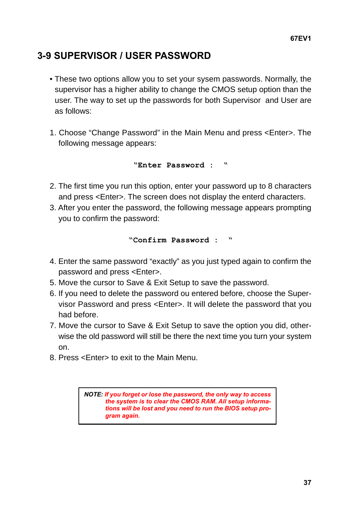## <span id="page-36-0"></span>**3-9 SUPERVISOR / USER PASSWORD**

- These two options allow you to set your sysem passwords. Normally, the supervisor has a higher ability to change the CMOS setup option than the user. The way to set up the passwords for both Supervisor and User are as follows:
- 1. Choose "Change Password" in the Main Menu and press <Enter>. The following message appears:

**"Enter Password : "**

- 2. The first time you run this option, enter your password up to 8 characters and press <Enter>. The screen does not display the enterd characters.
- 3. After you enter the password, the following message appears prompting you to confirm the password:

**"Confirm Password : "**

- 4. Enter the same password "exactly" as you just typed again to confirm the password and press <Enter>.
- 5. Move the cursor to Save & Exit Setup to save the password.
- 6. If you need to delete the password ou entered before, choose the Supervisor Password and press <Enter>. It will delete the password that you had before.
- 7. Move the cursor to Save & Exit Setup to save the option you did, otherwise the old password will still be there the next time you turn your system on.
- 8. Press <Enter> to exit to the Main Menu.

**NOTE: If you forget or lose the password, the only way to access the system is to clear the CMOS RAM. All setup informations will be lost and you need to run the BIOS setup program again.**